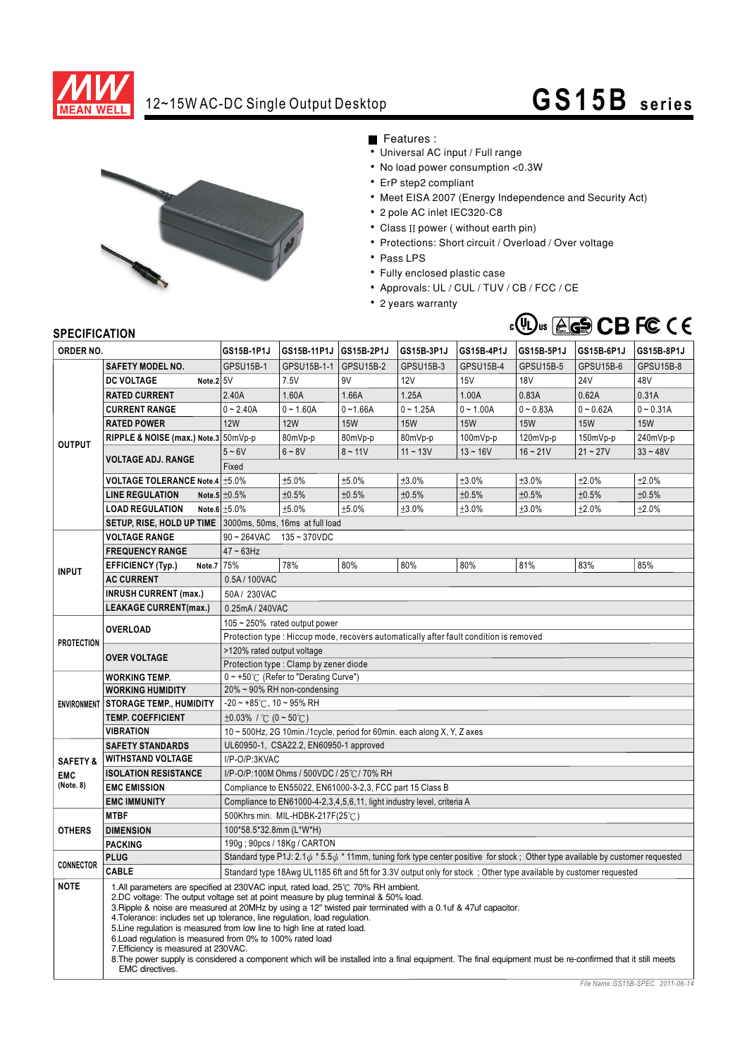

# 12~15W AC-DC Single Output Desktop **GS15B** series



Features :

- Universal AC input / Full range • No load power consumption <0.3W
- 
- ErP step2 compliant
- Meet EISA 2007 (Energy Independence and Security Act)
- 2 pole AC inlet IEC320-C8
- $\bullet$  Class II power ( without earth pin)
- Protections: Short circuit / Overload / Over voltage
- Pass LPS
- Fully enclosed plastic case
- Approvals: UL / CUL / TUV / CB / FCC / CE
- 2 years warranty

## TUV Rheinland Product Safety geprUfre Sicherheit

### **SPECIFICATION**

| יוטו ועם ווטבו וט                              |                                                                                                                                                                                                                                                                                                                                                                                                                                                                                                                                                                                                                                                                                                                                          |                                                                                                                                           |             |                  |             |                  |                  |             |                  |
|------------------------------------------------|------------------------------------------------------------------------------------------------------------------------------------------------------------------------------------------------------------------------------------------------------------------------------------------------------------------------------------------------------------------------------------------------------------------------------------------------------------------------------------------------------------------------------------------------------------------------------------------------------------------------------------------------------------------------------------------------------------------------------------------|-------------------------------------------------------------------------------------------------------------------------------------------|-------------|------------------|-------------|------------------|------------------|-------------|------------------|
| ORDER NO.                                      |                                                                                                                                                                                                                                                                                                                                                                                                                                                                                                                                                                                                                                                                                                                                          | GS15B-1P1J                                                                                                                                | GS15B-11P1J | GS15B-2P1J       | GS15B-3P1J  | GS15B-4P1J       | GS15B-5P1J       | GS15B-6P1J  | GS15B-8P1J       |
| <b>OUTPUT</b>                                  | <b>SAFETY MODEL NO.</b>                                                                                                                                                                                                                                                                                                                                                                                                                                                                                                                                                                                                                                                                                                                  | <b>GPSU15B-1</b>                                                                                                                          | GPSU15B-1-1 | <b>GPSU15B-2</b> | GPSU15B-3   | <b>GPSU15B-4</b> | <b>GPSU15B-5</b> | GPSU15B-6   | <b>GPSU15B-8</b> |
|                                                | <b>DC VOLTAGE</b><br>Note.2 5V                                                                                                                                                                                                                                                                                                                                                                                                                                                                                                                                                                                                                                                                                                           |                                                                                                                                           | 7.5V        | 9V               | 12V         | 15V              | <b>18V</b>       | <b>24V</b>  | 48V              |
|                                                | <b>RATED CURRENT</b>                                                                                                                                                                                                                                                                                                                                                                                                                                                                                                                                                                                                                                                                                                                     | 2.40A                                                                                                                                     | 1.60A       | 1.66A            | 1.25A       | 1.00A            | 0.83A            | 0.62A       | 0.31A            |
|                                                | <b>CURRENT RANGE</b>                                                                                                                                                                                                                                                                                                                                                                                                                                                                                                                                                                                                                                                                                                                     | $0 - 2.40A$                                                                                                                               | $0 - 1.60A$ | $0 - 1.66A$      | $0 - 1.25A$ | $0 - 1.00A$      | $0 - 0.83A$      | $0 - 0.62A$ | $0 - 0.31A$      |
|                                                | <b>RATED POWER</b>                                                                                                                                                                                                                                                                                                                                                                                                                                                                                                                                                                                                                                                                                                                       | <b>12W</b>                                                                                                                                | <b>12W</b>  | <b>15W</b>       | <b>15W</b>  | <b>15W</b>       | <b>15W</b>       | <b>15W</b>  | <b>15W</b>       |
|                                                | RIPPLE & NOISE (max.) Note.3 50mVp-p                                                                                                                                                                                                                                                                                                                                                                                                                                                                                                                                                                                                                                                                                                     |                                                                                                                                           | 80mVp-p     | 80mVp-p          | 80mVp-p     | 100mVp-p         | 120mVp-p         | 150mVp-p    | 240mVp-p         |
|                                                | <b>VOLTAGE ADJ. RANGE</b>                                                                                                                                                                                                                                                                                                                                                                                                                                                                                                                                                                                                                                                                                                                | $5 - 6V$                                                                                                                                  | $6 - 8V$    | $8 - 11V$        | $11 - 13V$  | $13 - 16V$       | $16 - 21V$       | $21 - 27V$  | $33 - 48V$       |
|                                                |                                                                                                                                                                                                                                                                                                                                                                                                                                                                                                                                                                                                                                                                                                                                          | Fixed                                                                                                                                     |             |                  |             |                  |                  |             |                  |
|                                                | VOLTAGE TOLERANCE Note.4 ±5.0%                                                                                                                                                                                                                                                                                                                                                                                                                                                                                                                                                                                                                                                                                                           |                                                                                                                                           | ±5.0%       | ±5.0%            | ±3.0%       | ±3.0%            | ±3.0%            | ±2.0%       | ±2.0%            |
|                                                | <b>LINE REGULATION</b>                                                                                                                                                                                                                                                                                                                                                                                                                                                                                                                                                                                                                                                                                                                   | Note.5 $\pm 0.5\%$                                                                                                                        | ±0.5%       | ±0.5%            | ±0.5%       | ±0.5%            | ±0.5%            | ±0.5%       | ±0.5%            |
|                                                | <b>LOAD REGULATION</b>                                                                                                                                                                                                                                                                                                                                                                                                                                                                                                                                                                                                                                                                                                                   | Note.6 $±5.0\%$                                                                                                                           | ±5.0%       | ±5.0%            | ±3.0%       | ±3.0%            | ±3.0%            | ±2.0%       | ±2.0%            |
|                                                | SETUP, RISE, HOLD UP TIME 3000ms, 50ms, 16ms at full load                                                                                                                                                                                                                                                                                                                                                                                                                                                                                                                                                                                                                                                                                |                                                                                                                                           |             |                  |             |                  |                  |             |                  |
|                                                | <b>VOLTAGE RANGE</b>                                                                                                                                                                                                                                                                                                                                                                                                                                                                                                                                                                                                                                                                                                                     | $90 - 264$ VAC<br>$135 - 370$ VDC                                                                                                         |             |                  |             |                  |                  |             |                  |
| <b>INPUT</b>                                   | <b>FREQUENCY RANGE</b>                                                                                                                                                                                                                                                                                                                                                                                                                                                                                                                                                                                                                                                                                                                   | $47 \sim 63$ Hz                                                                                                                           |             |                  |             |                  |                  |             |                  |
|                                                | Note.7 75%<br><b>EFFICIENCY (Typ.)</b>                                                                                                                                                                                                                                                                                                                                                                                                                                                                                                                                                                                                                                                                                                   |                                                                                                                                           | 78%         | 80%              | 80%         | 80%              | 81%              | 83%         | 85%              |
|                                                | <b>AC CURRENT</b>                                                                                                                                                                                                                                                                                                                                                                                                                                                                                                                                                                                                                                                                                                                        | 0.5A/100VAC                                                                                                                               |             |                  |             |                  |                  |             |                  |
|                                                | <b>INRUSH CURRENT (max.)</b>                                                                                                                                                                                                                                                                                                                                                                                                                                                                                                                                                                                                                                                                                                             | 50A/230VAC                                                                                                                                |             |                  |             |                  |                  |             |                  |
|                                                | <b>LEAKAGE CURRENT(max.)</b>                                                                                                                                                                                                                                                                                                                                                                                                                                                                                                                                                                                                                                                                                                             | 0.25mA / 240VAC                                                                                                                           |             |                  |             |                  |                  |             |                  |
| <b>PROTECTION</b>                              |                                                                                                                                                                                                                                                                                                                                                                                                                                                                                                                                                                                                                                                                                                                                          | $105 \sim 250\%$ rated output power                                                                                                       |             |                  |             |                  |                  |             |                  |
|                                                | <b>OVERLOAD</b>                                                                                                                                                                                                                                                                                                                                                                                                                                                                                                                                                                                                                                                                                                                          | Protection type: Hiccup mode, recovers automatically after fault condition is removed                                                     |             |                  |             |                  |                  |             |                  |
|                                                |                                                                                                                                                                                                                                                                                                                                                                                                                                                                                                                                                                                                                                                                                                                                          | >120% rated output voltage                                                                                                                |             |                  |             |                  |                  |             |                  |
|                                                | <b>OVER VOLTAGE</b>                                                                                                                                                                                                                                                                                                                                                                                                                                                                                                                                                                                                                                                                                                                      | Protection type: Clamp by zener diode                                                                                                     |             |                  |             |                  |                  |             |                  |
| <b>ENVIRONMENT</b>                             | <b>WORKING TEMP.</b>                                                                                                                                                                                                                                                                                                                                                                                                                                                                                                                                                                                                                                                                                                                     | 0~+50°C (Refer to "Derating Curve")                                                                                                       |             |                  |             |                  |                  |             |                  |
|                                                | <b>WORKING HUMIDITY</b>                                                                                                                                                                                                                                                                                                                                                                                                                                                                                                                                                                                                                                                                                                                  | 20% ~ 90% RH non-condensing                                                                                                               |             |                  |             |                  |                  |             |                  |
|                                                | <b>STORAGE TEMP., HUMIDITY</b>                                                                                                                                                                                                                                                                                                                                                                                                                                                                                                                                                                                                                                                                                                           | $-20$ ~ $+85^{\circ}$ C, 10 ~ 95% RH                                                                                                      |             |                  |             |                  |                  |             |                  |
|                                                | <b>TEMP. COEFFICIENT</b>                                                                                                                                                                                                                                                                                                                                                                                                                                                                                                                                                                                                                                                                                                                 | $\pm 0.03\%$ / °C (0 ~ 50°C)                                                                                                              |             |                  |             |                  |                  |             |                  |
|                                                | <b>VIBRATION</b>                                                                                                                                                                                                                                                                                                                                                                                                                                                                                                                                                                                                                                                                                                                         | 10 ~ 500Hz, 2G 10min./1cycle, period for 60min. each along X, Y, Z axes                                                                   |             |                  |             |                  |                  |             |                  |
| <b>SAFETY &amp;</b><br><b>EMC</b><br>(Note. 8) | <b>SAFETY STANDARDS</b>                                                                                                                                                                                                                                                                                                                                                                                                                                                                                                                                                                                                                                                                                                                  | UL60950-1, CSA22.2, EN60950-1 approved                                                                                                    |             |                  |             |                  |                  |             |                  |
|                                                | <b>WITHSTAND VOLTAGE</b>                                                                                                                                                                                                                                                                                                                                                                                                                                                                                                                                                                                                                                                                                                                 | I/P-O/P:3KVAC                                                                                                                             |             |                  |             |                  |                  |             |                  |
|                                                | <b>ISOLATION RESISTANCE</b>                                                                                                                                                                                                                                                                                                                                                                                                                                                                                                                                                                                                                                                                                                              | I/P-O/P:100M Ohms / 500VDC / 25°C / 70% RH                                                                                                |             |                  |             |                  |                  |             |                  |
|                                                | <b>EMC EMISSION</b>                                                                                                                                                                                                                                                                                                                                                                                                                                                                                                                                                                                                                                                                                                                      | Compliance to EN55022, EN61000-3-2,3, FCC part 15 Class B                                                                                 |             |                  |             |                  |                  |             |                  |
|                                                | <b>EMC IMMUNITY</b>                                                                                                                                                                                                                                                                                                                                                                                                                                                                                                                                                                                                                                                                                                                      | Compliance to EN61000-4-2,3,4,5,6,11, light industry level, criteria A                                                                    |             |                  |             |                  |                  |             |                  |
| <b>OTHERS</b>                                  | <b>MTBF</b>                                                                                                                                                                                                                                                                                                                                                                                                                                                                                                                                                                                                                                                                                                                              | 500Khrs min. MIL-HDBK-217F(25℃)                                                                                                           |             |                  |             |                  |                  |             |                  |
|                                                | <b>DIMENSION</b>                                                                                                                                                                                                                                                                                                                                                                                                                                                                                                                                                                                                                                                                                                                         | 100*58.5*32.8mm (L*W*H)                                                                                                                   |             |                  |             |                  |                  |             |                  |
|                                                | <b>PACKING</b>                                                                                                                                                                                                                                                                                                                                                                                                                                                                                                                                                                                                                                                                                                                           | 190g; 90pcs / 18Kg / CARTON                                                                                                               |             |                  |             |                  |                  |             |                  |
| <b>CONNECTOR</b>                               | <b>PLUG</b>                                                                                                                                                                                                                                                                                                                                                                                                                                                                                                                                                                                                                                                                                                                              | Standard type P1J: 2.1 $\phi$ * 5.5 $\phi$ * 11mm, tuning fork type center positive for stock; Other type available by customer requested |             |                  |             |                  |                  |             |                  |
|                                                | CABLE                                                                                                                                                                                                                                                                                                                                                                                                                                                                                                                                                                                                                                                                                                                                    | Standard type 18Awg UL1185 6ft and 5ft for 3.3V output only for stock; Other type available by customer requested                         |             |                  |             |                  |                  |             |                  |
| <b>NOTE</b>                                    | 1.All parameters are specified at 230VAC input, rated load, 25°C 70% RH ambient.<br>2.DC voltage: The output voltage set at point measure by plug terminal & 50% load.<br>3. Ripple & noise are measured at 20MHz by using a 12" twisted pair terminated with a 0.1uf & 47uf capacitor.<br>4. Tolerance: includes set up tolerance, line regulation, load regulation.<br>5. Line regulation is measured from low line to high line at rated load.<br>6. Load regulation is measured from 0% to 100% rated load<br>7. Efficiency is measured at 230 VAC.<br>8. The power supply is considered a component which will be installed into a final equipment. The final equipment must be re-confirmed that it still meets<br>EMC directives. |                                                                                                                                           |             |                  |             |                  |                  |             |                  |